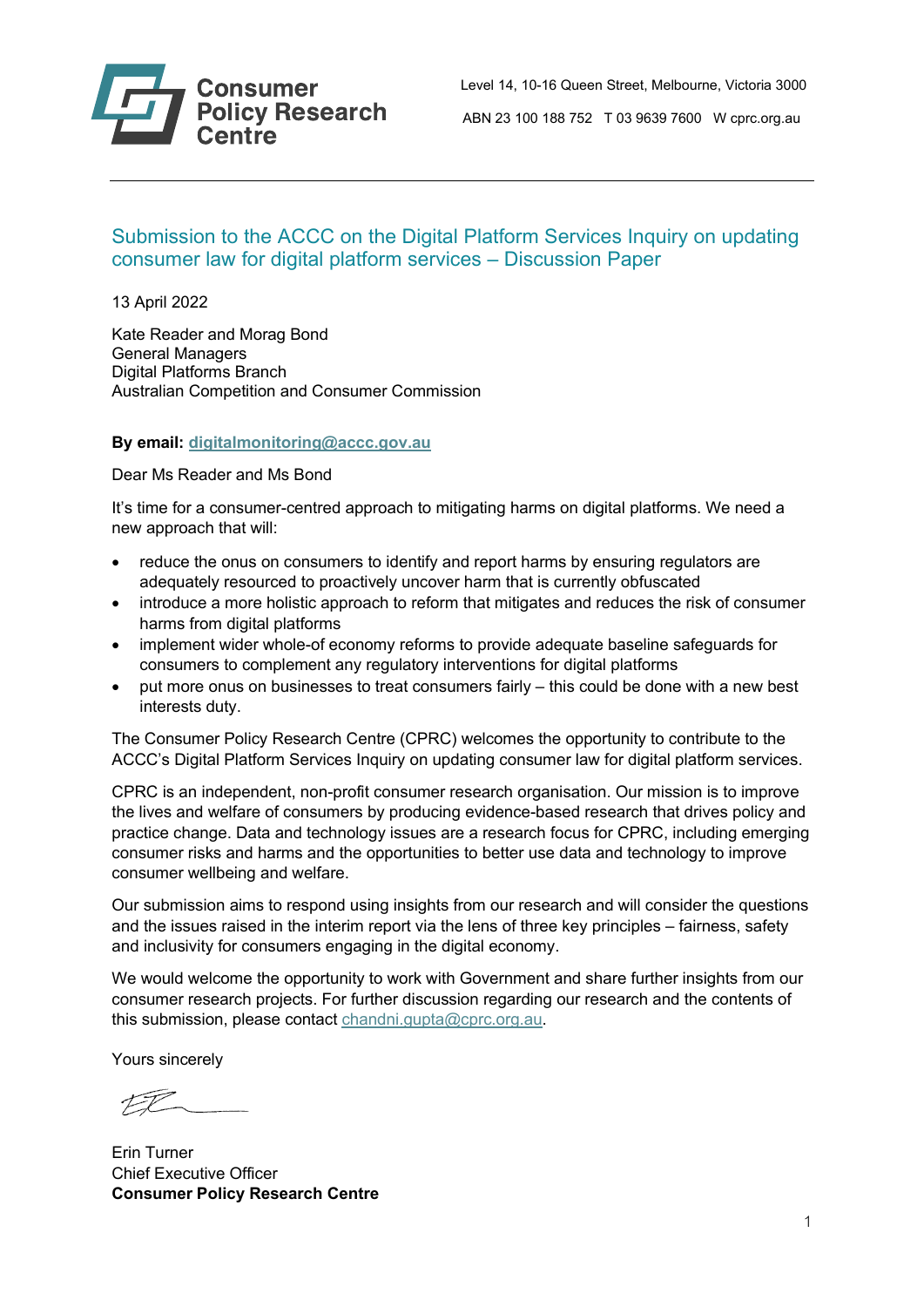

ABN 23 100 188 752 T 03 9639 7600 W cprc.org.au

# Submission to the ACCC on the Digital Platform Services Inquiry on updating consumer law for digital platform services – Discussion Paper

13 April 2022

Kate Reader and Morag Bond General Managers Digital Platforms Branch Australian Competition and Consumer Commission

### **By email: [digitalmonitoring@accc.gov.au](mailto:digitalmonitoring@accc.gov.au)**

Dear Ms Reader and Ms Bond

It's time for a consumer-centred approach to mitigating harms on digital platforms. We need a new approach that will:

- reduce the onus on consumers to identify and report harms by ensuring regulators are adequately resourced to proactively uncover harm that is currently obfuscated
- introduce a more holistic approach to reform that mitigates and reduces the risk of consumer harms from digital platforms
- implement wider whole-of economy reforms to provide adequate baseline safeguards for consumers to complement any regulatory interventions for digital platforms
- put more onus on businesses to treat consumers fairly this could be done with a new best interests duty.

The Consumer Policy Research Centre (CPRC) welcomes the opportunity to contribute to the ACCC's Digital Platform Services Inquiry on updating consumer law for digital platform services.

CPRC is an independent, non-profit consumer research organisation. Our mission is to improve the lives and welfare of consumers by producing evidence-based research that drives policy and practice change. Data and technology issues are a research focus for CPRC, including emerging consumer risks and harms and the opportunities to better use data and technology to improve consumer wellbeing and welfare.

Our submission aims to respond using insights from our research and will consider the questions and the issues raised in the interim report via the lens of three key principles – fairness, safety and inclusivity for consumers engaging in the digital economy.

We would welcome the opportunity to work with Government and share further insights from our consumer research projects. For further discussion regarding our research and the contents of this submission, please contact [chandni.gupta@cprc.org.au.](mailto:chandni.gupta@cprc.org.au)

Yours sincerely

 $\mathcal{LP}_{\mathcal{P}}$ 

Erin Turner Chief Executive Officer **Consumer Policy Research Centre**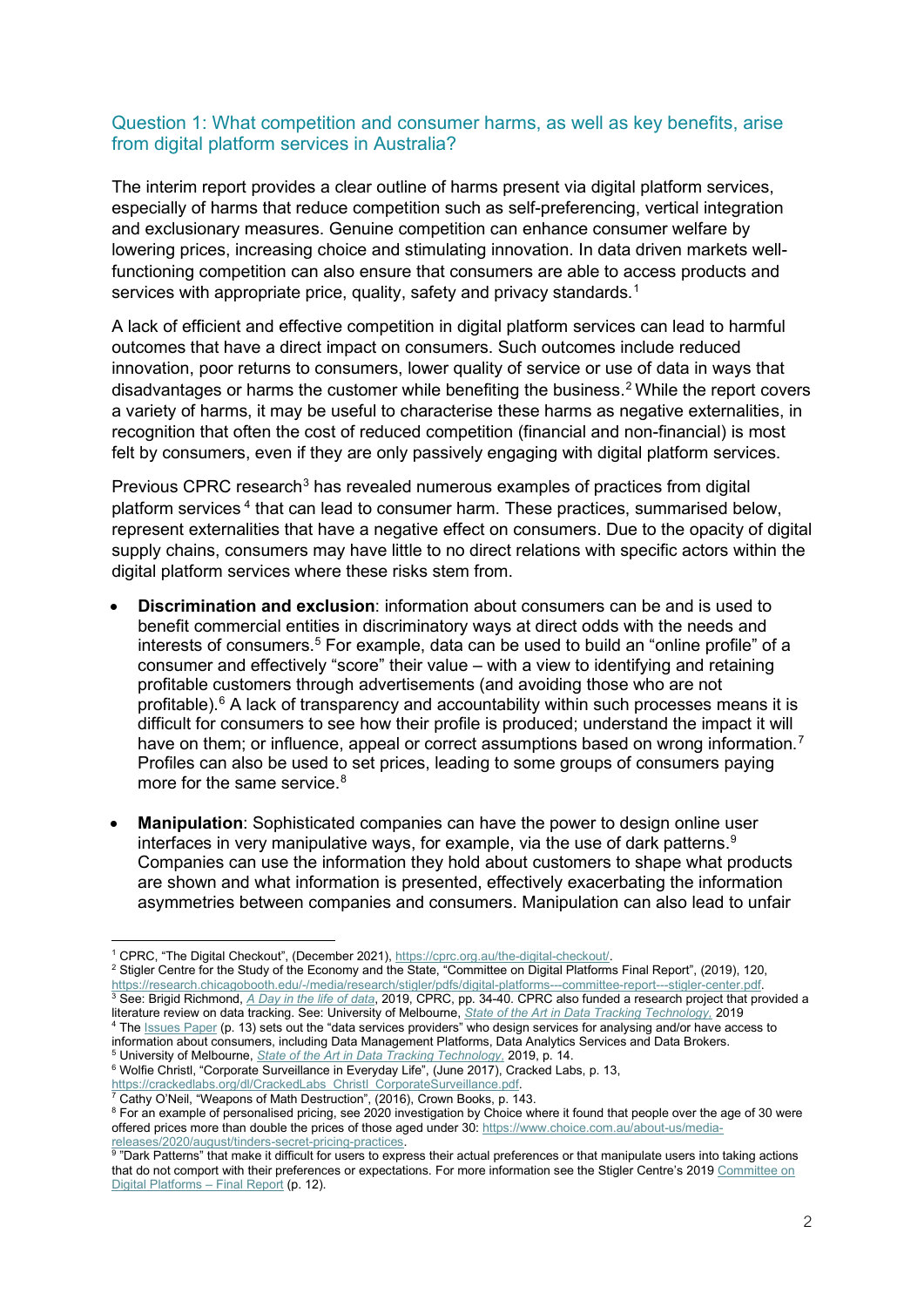### Question 1: What competition and consumer harms, as well as key benefits, arise from digital platform services in Australia?

The interim report provides a clear outline of harms present via digital platform services, especially of harms that reduce competition such as self-preferencing, vertical integration and exclusionary measures. Genuine competition can enhance consumer welfare by lowering prices, increasing choice and stimulating innovation. In data driven markets wellfunctioning competition can also ensure that consumers are able to access products and services with appropriate price, quality, safety and privacy standards. [1](#page-1-0)

A lack of efficient and effective competition in digital platform services can lead to harmful outcomes that have a direct impact on consumers. Such outcomes include reduced innovation, poor returns to consumers, lower quality of service or use of data in ways that disadvantages or harms the customer while benefiting the business. [2](#page-1-1) While the report covers a variety of harms, it may be useful to characterise these harms as negative externalities, in recognition that often the cost of reduced competition (financial and non-financial) is most felt by consumers, even if they are only passively engaging with digital platform services.

Previous CPRC research<sup>[3](#page-1-2)</sup> has revealed numerous examples of practices from digital platform services [4](#page-1-3) that can lead to consumer harm. These practices, summarised below, represent externalities that have a negative effect on consumers. Due to the opacity of digital supply chains, consumers may have little to no direct relations with specific actors within the digital platform services where these risks stem from.

- **Discrimination and exclusion**: information about consumers can be and is used to benefit commercial entities in discriminatory ways at direct odds with the needs and interests of consumers.<sup>[5](#page-1-4)</sup> For example, data can be used to build an "online profile" of a consumer and effectively "score" their value – with a view to identifying and retaining profitable customers through advertisements (and avoiding those who are not profitable). $6$  A lack of transparency and accountability within such processes means it is difficult for consumers to see how their profile is produced; understand the impact it will have on them; or influence, appeal or correct assumptions based on wrong information.<sup>[7](#page-1-6)</sup> Profiles can also be used to set prices, leading to some groups of consumers paying more for the same service.<sup>[8](#page-1-7)</sup>
- **Manipulation**: Sophisticated companies can have the power to design online user interfaces in very manipulative ways, for example, via the use of dark patterns. $^{\textrm{\tiny{\textregistered}}}$ Companies can use the information they hold about customers to shape what products are shown and what information is presented, effectively exacerbating the information asymmetries between companies and consumers. Manipulation can also lead to unfair

<span id="page-1-5"></span><span id="page-1-4"></span><sup>5</sup> University of Melbourne, *State of the Art in Data Tracking Technology,* 2019, p. 14. 6 Wolfie Christl, "Corporate Surveillance in Everyday Life", (June 2017), Cracked Labs, p. 13,

<u>https://crackedlabs.org/dl/CrackedLabs\_Christl\_CorporateSurveillance.pdf</u>.<br><sup>7</sup> Cathy O'Neil, "Weapons of Math Destruction", (2016), Crown Books, p. 143.

<span id="page-1-1"></span>

<span id="page-1-0"></span><sup>&</sup>lt;sup>1</sup> CPRC, "The Digital Checkout", (December 2021), https://cprc.org.au/the-digital-checkout/.<br><sup>2</sup> Stigler Centre for the Study of the Economy and the State, "Committee on Digital Platforms Final Report", (2019), 120, the search chicagobooth.edu/-/media/research/stigler/pdfs/digital-platforms---committee-report--stigler-center.pdf<br>3 See: Brigid Richmond, [A Day in the life of data](https://cprc.org.au/wp-content/uploads/CPRC-Research-Report_A-Day-in-the-Life-of-Data_final-full-report.pdf), 2019, CPRC, pp. 34-40. CPRC also funded a research proje literature review on data tracking. See: University of Melbourne, *[State of the Art in Data Tracking Technology,](https://cprc.org.au/wp-content/uploads/State-of-the-Art-in-Data-Tracking-Technology_UoM_FINAL_01112019.pdf)* 2019

<span id="page-1-3"></span><span id="page-1-2"></span><sup>4</sup> The [Issues Paper](https://www.accc.gov.au/system/files/Ad%20tech%20inquiry%20-%20issues%20paper.pdf) (p. 13) sets out the "data services providers" who design services for analysing and/or have access to information about consumers, including Data Management Platforms, Data Analytics Services and Data Brokers.

<span id="page-1-7"></span><span id="page-1-6"></span> $^8$  For an example of personalised pricing, see 2020 investigation by Choice where it found that people over the age of 30 were offered prices more than double the prices of those aged under 30: [https://www.choice.com.au/about-us/media-](https://www.choice.com.au/about-us/media-releases/2020/august/tinders-secret-pricing-practices)

<span id="page-1-8"></span>[releases/2020/august/tinders-secret-pricing-practices.](https://www.choice.com.au/about-us/media-releases/2020/august/tinders-secret-pricing-practices)<br><sup>9</sup> "Dark Patterns" that make it difficult for users to express their actual preferences or that manipulate users into taking actions that do not comport with their preferences or expectations. For more information see the Stigler Centre's 201[9 Committee on](https://research.chicagobooth.edu/-/media/research/stigler/pdfs/digital-platforms---committee-report---stigler-center.pdf?la=en&hash=2D23583FF8BCC560B7FEF7A81E1F95C1DDC5225E)  [Digital Platforms – Final Report](https://research.chicagobooth.edu/-/media/research/stigler/pdfs/digital-platforms---committee-report---stigler-center.pdf?la=en&hash=2D23583FF8BCC560B7FEF7A81E1F95C1DDC5225E) (p. 12).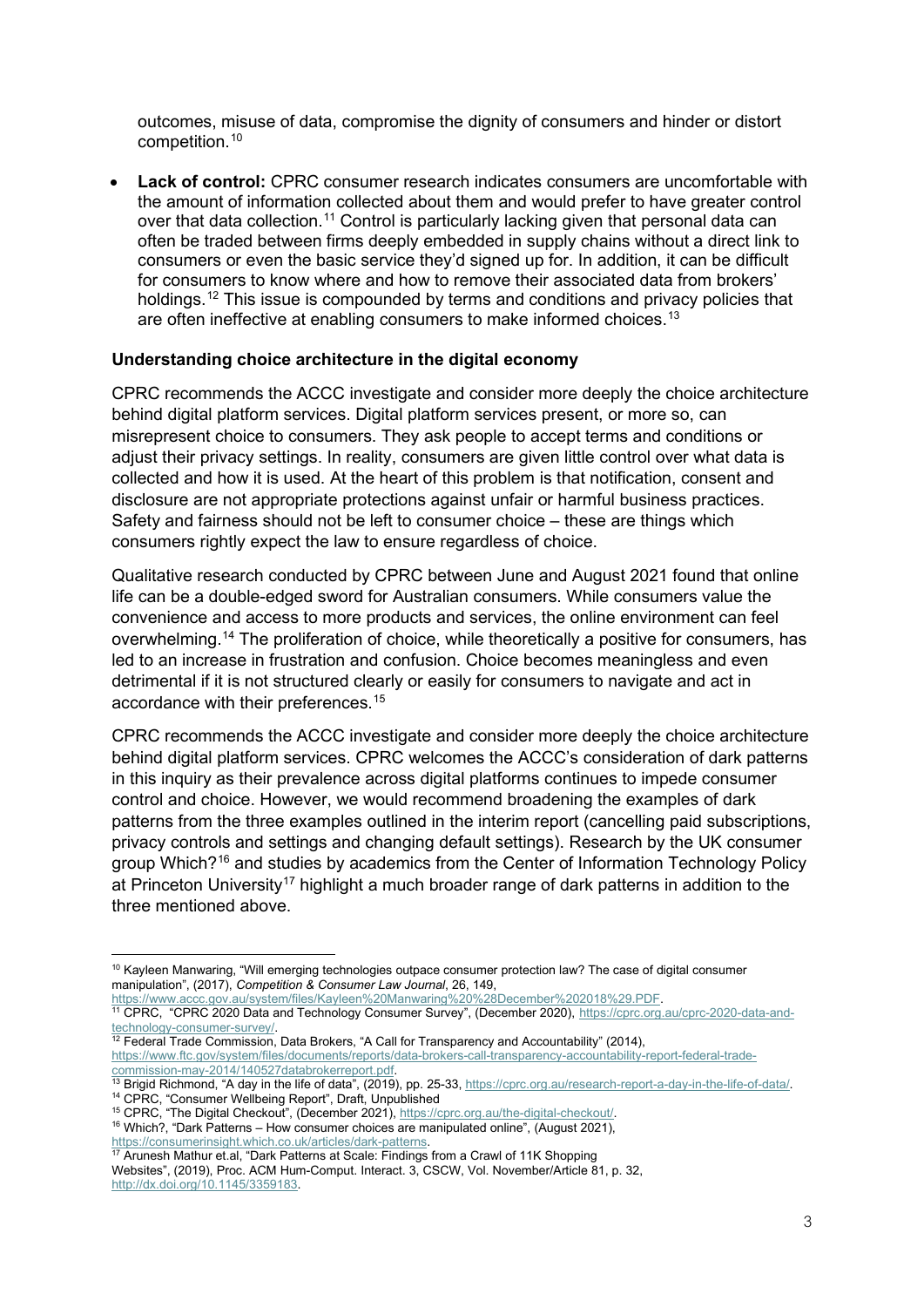outcomes, misuse of data, compromise the dignity of consumers and hinder or distort competition.[10](#page-2-0)

• **Lack of control:** CPRC consumer research indicates consumers are uncomfortable with the amount of information collected about them and would prefer to have greater control over that data collection.<sup>[11](#page-2-1)</sup> Control is particularly lacking given that personal data can often be traded between firms deeply embedded in supply chains without a direct link to consumers or even the basic service they'd signed up for. In addition, it can be difficult for consumers to know where and how to remove their associated data from brokers' holdings.<sup>[12](#page-2-2)</sup> This issue is compounded by terms and conditions and privacy policies that are often ineffective at enabling consumers to make informed choices.<sup>[13](#page-2-3)</sup>

#### **Understanding choice architecture in the digital economy**

CPRC recommends the ACCC investigate and consider more deeply the choice architecture behind digital platform services. Digital platform services present, or more so, can misrepresent choice to consumers. They ask people to accept terms and conditions or adjust their privacy settings. In reality, consumers are given little control over what data is collected and how it is used. At the heart of this problem is that notification, consent and disclosure are not appropriate protections against unfair or harmful business practices. Safety and fairness should not be left to consumer choice – these are things which consumers rightly expect the law to ensure regardless of choice.

Qualitative research conducted by CPRC between June and August 2021 found that online life can be a double-edged sword for Australian consumers. While consumers value the convenience and access to more products and services, the online environment can feel overwhelming.<sup>[14](#page-2-4)</sup> The proliferation of choice, while theoretically a positive for consumers, has led to an increase in frustration and confusion. Choice becomes meaningless and even detrimental if it is not structured clearly or easily for consumers to navigate and act in accordance with their preferences.[15](#page-2-5)

CPRC recommends the ACCC investigate and consider more deeply the choice architecture behind digital platform services. CPRC welcomes the ACCC's consideration of dark patterns in this inquiry as their prevalence across digital platforms continues to impede consumer control and choice. However, we would recommend broadening the examples of dark patterns from the three examples outlined in the interim report (cancelling paid subscriptions, privacy controls and settings and changing default settings). Research by the UK consumer group Which?[16](#page-2-6) and studies by academics from the Center of Information Technology Policy at Princeton University<sup>[17](#page-2-7)</sup> highlight a much broader range of dark patterns in addition to the three mentioned above.

<span id="page-2-1"></span>https://www.accc.gov.au/system/files/Kayleen%20Manwaring%20%28December%202018%29.PDF.<br><sup>11</sup> CPRC, "CPRC 2020 Data and Technology Consumer Survey", (December 2020), [https://cprc.org.au/cprc-2020-data-and](https://cprc.org.au/cprc-2020-data-and-technology-consumer-survey/)[technology-consumer-survey/.](https://cprc.org.au/cprc-2020-data-and-technology-consumer-survey/)<br><sup>12</sup> Federal Trade Commission, Data Brokers, "A Call for Transparency and Accountability" (2014),

<span id="page-2-7"></span>

<span id="page-2-6"></span>[https://consumerinsight.which.co.uk/articles/dark-patterns.](https://consumerinsight.which.co.uk/articles/dark-patterns) 17 Arunesh Mathur et.al, "Dark Patterns at Scale: Findings from a Crawl of 11K Shopping Websites", (2019), Proc. ACM Hum-Comput. Interact. 3, CSCW, Vol. November/Article 81, p. 32,

[http://dx.doi.org/10.1145/3359183.](http://dx.doi.org/10.1145/3359183)

<span id="page-2-0"></span><sup>&</sup>lt;sup>10</sup> Kayleen Manwaring, "Will emerging technologies outpace consumer protection law? The case of digital consumer manipulation", (2017), *Competition & Consumer Law Journal*, 26, 149,

<span id="page-2-2"></span>[https://www.ftc.gov/system/files/documents/reports/data-brokers-call-transparency-accountability-report-federal-trade-](https://www.ftc.gov/system/files/documents/reports/data-brokers-call-transparency-accountability-report-federal-trade-commission-may-2014/140527databrokerreport.pdf)

<span id="page-2-3"></span><sup>&</sup>lt;sup>13</sup> Brigid Richmond, "A day in the life of data", (2019), pp. 25-33, https://cprc.org.au/research-report-a-day-in-the-life-of-data/<br><sup>14</sup> CPRC, "Consumer Wellbeing Report", Draft, Unpublished<br><sup>15</sup> CPRC, "The Digital Checko

<span id="page-2-4"></span>

<span id="page-2-5"></span> $16$  Which?, "Dark Patterns – How consumer choices are manipulated online", (August 2021),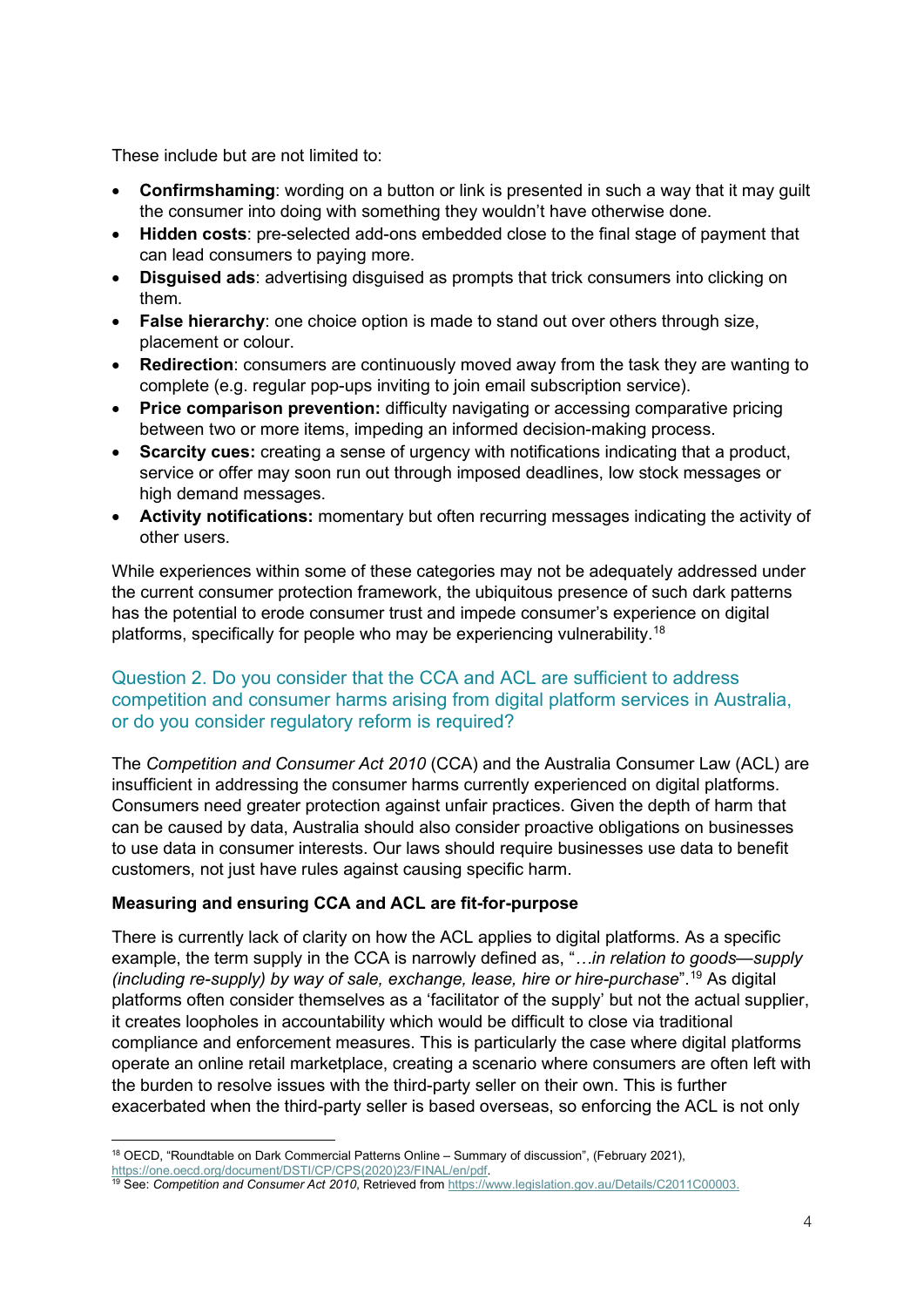These include but are not limited to:

- **Confirmshaming**: wording on a button or link is presented in such a way that it may guilt the consumer into doing with something they wouldn't have otherwise done.
- **Hidden costs**: pre-selected add-ons embedded close to the final stage of payment that can lead consumers to paying more.
- **Disguised ads**: advertising disguised as prompts that trick consumers into clicking on them.
- **False hierarchy**: one choice option is made to stand out over others through size, placement or colour.
- **Redirection**: consumers are continuously moved away from the task they are wanting to complete (e.g. regular pop-ups inviting to join email subscription service).
- **Price comparison prevention:** difficulty navigating or accessing comparative pricing between two or more items, impeding an informed decision-making process.
- **Scarcity cues:** creating a sense of urgency with notifications indicating that a product, service or offer may soon run out through imposed deadlines, low stock messages or high demand messages.
- **Activity notifications:** momentary but often recurring messages indicating the activity of other users.

While experiences within some of these categories may not be adequately addressed under the current consumer protection framework, the ubiquitous presence of such dark patterns has the potential to erode consumer trust and impede consumer's experience on digital platforms, specifically for people who may be experiencing vulnerability.<sup>[18](#page-3-0)</sup>

# Question 2. Do you consider that the CCA and ACL are sufficient to address competition and consumer harms arising from digital platform services in Australia, or do you consider regulatory reform is required?

The *Competition and Consumer Act 2010* (CCA) and the Australia Consumer Law (ACL) are insufficient in addressing the consumer harms currently experienced on digital platforms. Consumers need greater protection against unfair practices. Given the depth of harm that can be caused by data, Australia should also consider proactive obligations on businesses to use data in consumer interests. Our laws should require businesses use data to benefit customers, not just have rules against causing specific harm.

# **Measuring and ensuring CCA and ACL are fit-for-purpose**

There is currently lack of clarity on how the ACL applies to digital platforms. As a specific example, the term supply in the CCA is narrowly defined as, "*…in relation to goods—supply (including re-supply) by way of sale, exchange, lease, hire or hire-purchase*".[19](#page-3-1) As digital platforms often consider themselves as a 'facilitator of the supply' but not the actual supplier, it creates loopholes in accountability which would be difficult to close via traditional compliance and enforcement measures. This is particularly the case where digital platforms operate an online retail marketplace, creating a scenario where consumers are often left with the burden to resolve issues with the third-party seller on their own. This is further exacerbated when the third-party seller is based overseas, so enforcing the ACL is not only

<sup>18</sup> OECD, "Roundtable on Dark Commercial Patterns Online – Summary of discussion", (February 2021),

<span id="page-3-0"></span>[https://one.oecd.org/document/DSTI/CP/CPS\(2020\)23/FINAL/en/pdf.](https://one.oecd.org/document/DSTI/CP/CPS(2020)23/FINAL/en/pdf)

<span id="page-3-1"></span><sup>19</sup> See: *Competition and Consumer Act 2010*, Retrieved from [https://www.legislation.gov.au/Details/C2011C00003.](https://www.legislation.gov.au/Details/C2011C00003)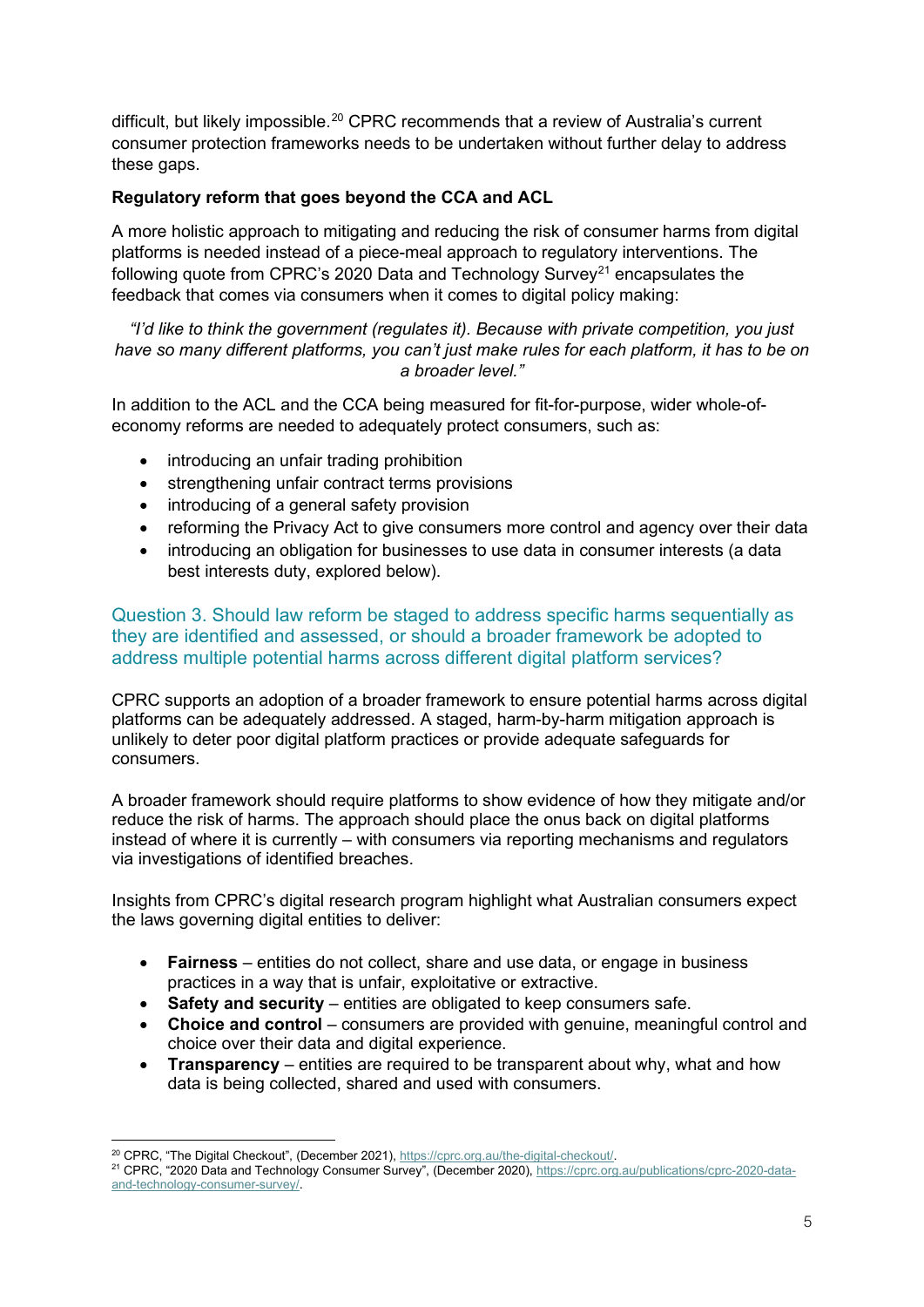difficult, but likely impossible.<sup>[20](#page-4-0)</sup> CPRC recommends that a review of Australia's current consumer protection frameworks needs to be undertaken without further delay to address these gaps.

# **Regulatory reform that goes beyond the CCA and ACL**

A more holistic approach to mitigating and reducing the risk of consumer harms from digital platforms is needed instead of a piece-meal approach to regulatory interventions. The following quote from CPRC's 2020 Data and Technology Survey<sup>[21](#page-4-1)</sup> encapsulates the feedback that comes via consumers when it comes to digital policy making:

*"I'd like to think the government (regulates it). Because with private competition, you just have so many different platforms, you can't just make rules for each platform, it has to be on a broader level."*

In addition to the ACL and the CCA being measured for fit-for-purpose, wider whole-ofeconomy reforms are needed to adequately protect consumers, such as:

- introducing an unfair trading prohibition
- strengthening unfair contract terms provisions
- introducing of a general safety provision
- reforming the Privacy Act to give consumers more control and agency over their data
- introducing an obligation for businesses to use data in consumer interests (a data best interests duty, explored below).

Question 3. Should law reform be staged to address specific harms sequentially as they are identified and assessed, or should a broader framework be adopted to address multiple potential harms across different digital platform services?

CPRC supports an adoption of a broader framework to ensure potential harms across digital platforms can be adequately addressed. A staged, harm-by-harm mitigation approach is unlikely to deter poor digital platform practices or provide adequate safeguards for consumers.

A broader framework should require platforms to show evidence of how they mitigate and/or reduce the risk of harms. The approach should place the onus back on digital platforms instead of where it is currently – with consumers via reporting mechanisms and regulators via investigations of identified breaches.

Insights from CPRC's digital research program highlight what Australian consumers expect the laws governing digital entities to deliver:

- **Fairness** entities do not collect, share and use data, or engage in business practices in a way that is unfair, exploitative or extractive.
- **Safety and security** entities are obligated to keep consumers safe.
- **Choice and control**  consumers are provided with genuine, meaningful control and choice over their data and digital experience.
- **Transparency** entities are required to be transparent about why, what and how data is being collected, shared and used with consumers.

<span id="page-4-1"></span>

<span id="page-4-0"></span><sup>&</sup>lt;sup>20</sup> CPRC, "The Digital Checkout", (December 2021), https://cprc.org.au/the-digital-checkout/.<br><sup>21</sup> CPRC, "2020 Data and Technology Consumer Survey", (December 2020)[, https://cprc.org.au/publications/cprc-2020-data](https://cprc.org.au/publications/cprc-2020-data-and-technology-consumer-survey/)[and-technology-consumer-survey/.](https://cprc.org.au/publications/cprc-2020-data-and-technology-consumer-survey/)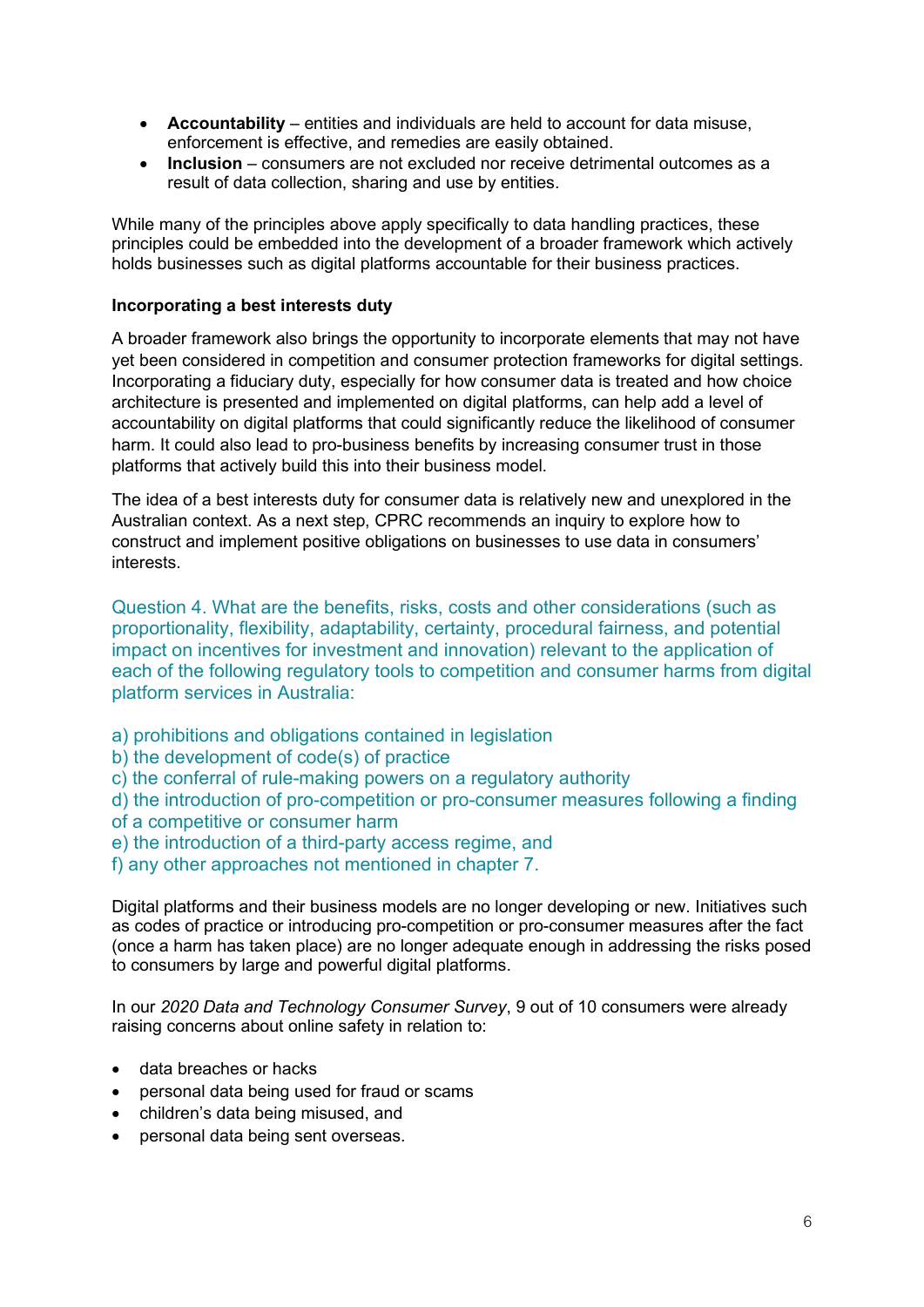- **Accountability**  entities and individuals are held to account for data misuse, enforcement is effective, and remedies are easily obtained.
- **Inclusion** consumers are not excluded nor receive detrimental outcomes as a result of data collection, sharing and use by entities.

While many of the principles above apply specifically to data handling practices, these principles could be embedded into the development of a broader framework which actively holds businesses such as digital platforms accountable for their business practices.

#### **Incorporating a best interests duty**

A broader framework also brings the opportunity to incorporate elements that may not have yet been considered in competition and consumer protection frameworks for digital settings. Incorporating a fiduciary duty, especially for how consumer data is treated and how choice architecture is presented and implemented on digital platforms, can help add a level of accountability on digital platforms that could significantly reduce the likelihood of consumer harm. It could also lead to pro-business benefits by increasing consumer trust in those platforms that actively build this into their business model.

The idea of a best interests duty for consumer data is relatively new and unexplored in the Australian context. As a next step, CPRC recommends an inquiry to explore how to construct and implement positive obligations on businesses to use data in consumers' interests.

Question 4. What are the benefits, risks, costs and other considerations (such as proportionality, flexibility, adaptability, certainty, procedural fairness, and potential impact on incentives for investment and innovation) relevant to the application of each of the following regulatory tools to competition and consumer harms from digital platform services in Australia:

- a) prohibitions and obligations contained in legislation
- b) the development of code(s) of practice
- c) the conferral of rule-making powers on a regulatory authority

d) the introduction of pro-competition or pro-consumer measures following a finding of a competitive or consumer harm

- e) the introduction of a third-party access regime, and
- f) any other approaches not mentioned in chapter 7.

Digital platforms and their business models are no longer developing or new. Initiatives such as codes of practice or introducing pro-competition or pro-consumer measures after the fact (once a harm has taken place) are no longer adequate enough in addressing the risks posed to consumers by large and powerful digital platforms.

In our *2020 Data and Technology Consumer Survey*, 9 out of 10 consumers were already raising concerns about online safety in relation to:

- data breaches or hacks
- personal data being used for fraud or scams
- children's data being misused, and
- personal data being sent overseas.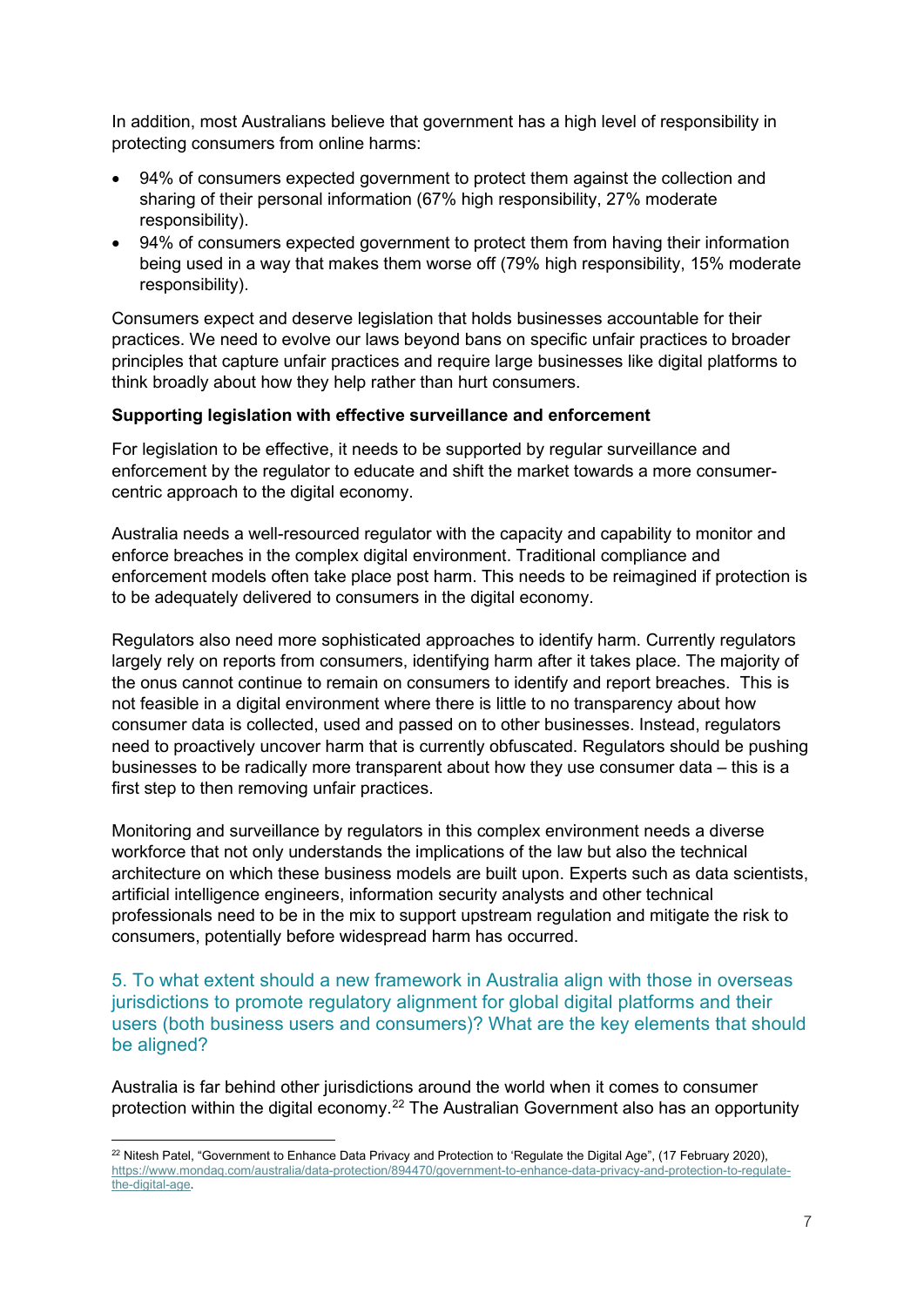In addition, most Australians believe that government has a high level of responsibility in protecting consumers from online harms:

- 94% of consumers expected government to protect them against the collection and sharing of their personal information (67% high responsibility, 27% moderate responsibility).
- 94% of consumers expected government to protect them from having their information being used in a way that makes them worse off (79% high responsibility, 15% moderate responsibility).

Consumers expect and deserve legislation that holds businesses accountable for their practices. We need to evolve our laws beyond bans on specific unfair practices to broader principles that capture unfair practices and require large businesses like digital platforms to think broadly about how they help rather than hurt consumers.

#### **Supporting legislation with effective surveillance and enforcement**

For legislation to be effective, it needs to be supported by regular surveillance and enforcement by the regulator to educate and shift the market towards a more consumercentric approach to the digital economy.

Australia needs a well-resourced regulator with the capacity and capability to monitor and enforce breaches in the complex digital environment. Traditional compliance and enforcement models often take place post harm. This needs to be reimagined if protection is to be adequately delivered to consumers in the digital economy.

Regulators also need more sophisticated approaches to identify harm. Currently regulators largely rely on reports from consumers, identifying harm after it takes place. The majority of the onus cannot continue to remain on consumers to identify and report breaches. This is not feasible in a digital environment where there is little to no transparency about how consumer data is collected, used and passed on to other businesses. Instead, regulators need to proactively uncover harm that is currently obfuscated. Regulators should be pushing businesses to be radically more transparent about how they use consumer data – this is a first step to then removing unfair practices.

Monitoring and surveillance by regulators in this complex environment needs a diverse workforce that not only understands the implications of the law but also the technical architecture on which these business models are built upon. Experts such as data scientists, artificial intelligence engineers, information security analysts and other technical professionals need to be in the mix to support upstream regulation and mitigate the risk to consumers, potentially before widespread harm has occurred.

5. To what extent should a new framework in Australia align with those in overseas jurisdictions to promote regulatory alignment for global digital platforms and their users (both business users and consumers)? What are the key elements that should be aligned?

Australia is far behind other jurisdictions around the world when it comes to consumer protection within the digital economy. [22](#page-6-0) The Australian Government also has an opportunity

<span id="page-6-0"></span><sup>&</sup>lt;sup>22</sup> Nitesh Patel, "Government to Enhance Data Privacy and Protection to 'Regulate the Digital Age", (17 February 2020), [https://www.mondaq.com/australia/data-protection/894470/government-to-enhance-data-privacy-and-protection-to-regulate](https://www.mondaq.com/australia/data-protection/894470/government-to-enhance-data-privacy-and-protection-to-regulate-the-digital-age)[the-digital-age.](https://www.mondaq.com/australia/data-protection/894470/government-to-enhance-data-privacy-and-protection-to-regulate-the-digital-age)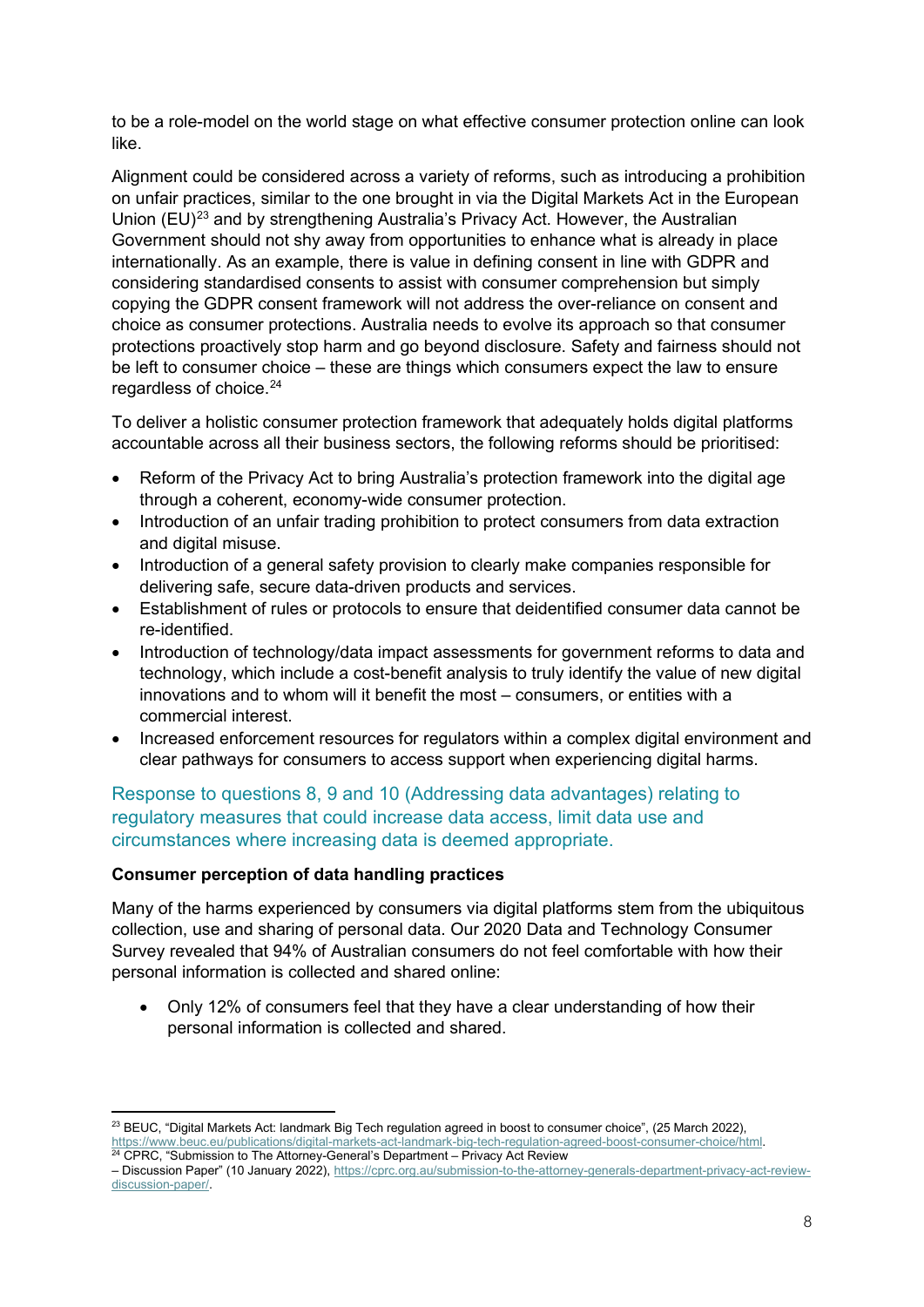to be a role-model on the world stage on what effective consumer protection online can look like.

Alignment could be considered across a variety of reforms, such as introducing a prohibition on unfair practices, similar to the one brought in via the Digital Markets Act in the European Union (EU)<sup>[23](#page-7-0)</sup> and by strengthening Australia's Privacy Act. However, the Australian Government should not shy away from opportunities to enhance what is already in place internationally. As an example, there is value in defining consent in line with GDPR and considering standardised consents to assist with consumer comprehension but simply copying the GDPR consent framework will not address the over-reliance on consent and choice as consumer protections. Australia needs to evolve its approach so that consumer protections proactively stop harm and go beyond disclosure. Safety and fairness should not be left to consumer choice – these are things which consumers expect the law to ensure regardless of choice.<sup>[24](#page-7-1)</sup>

To deliver a holistic consumer protection framework that adequately holds digital platforms accountable across all their business sectors, the following reforms should be prioritised:

- Reform of the Privacy Act to bring Australia's protection framework into the digital age through a coherent, economy-wide consumer protection.
- Introduction of an unfair trading prohibition to protect consumers from data extraction and digital misuse.
- Introduction of a general safety provision to clearly make companies responsible for delivering safe, secure data-driven products and services.
- Establishment of rules or protocols to ensure that deidentified consumer data cannot be re-identified.
- Introduction of technology/data impact assessments for government reforms to data and technology, which include a cost-benefit analysis to truly identify the value of new digital innovations and to whom will it benefit the most – consumers, or entities with a commercial interest.
- Increased enforcement resources for regulators within a complex digital environment and clear pathways for consumers to access support when experiencing digital harms.

Response to questions 8, 9 and 10 (Addressing data advantages) relating to regulatory measures that could increase data access, limit data use and circumstances where increasing data is deemed appropriate.

# **Consumer perception of data handling practices**

Many of the harms experienced by consumers via digital platforms stem from the ubiquitous collection, use and sharing of personal data. Our 2020 Data and Technology Consumer Survey revealed that 94% of Australian consumers do not feel comfortable with how their personal information is collected and shared online:

• Only 12% of consumers feel that they have a clear understanding of how their personal information is collected and shared.

<span id="page-7-0"></span><sup>&</sup>lt;sup>23</sup> BEUC, "Digital Markets Act: landmark Big Tech regulation agreed in boost to consumer choice", (25 March 2022), [https://www.beuc.eu/publications/digital-markets-act-landmark-big-tech-regulation-agreed-boost-consumer-choice/html.](https://www.beuc.eu/publications/digital-markets-act-landmark-big-tech-regulation-agreed-boost-consumer-choice/html) 24 CPRC, "Submission to The Attorney-General's Department – Privacy Act Review

<span id="page-7-1"></span><sup>–</sup> Discussion Paper" (10 January 2022), [https://cprc.org.au/submission-to-the-attorney-generals-department-privacy-act-review](https://cprc.org.au/submission-to-the-attorney-generals-department-privacy-act-review-discussion-paper/)[discussion-paper/.](https://cprc.org.au/submission-to-the-attorney-generals-department-privacy-act-review-discussion-paper/)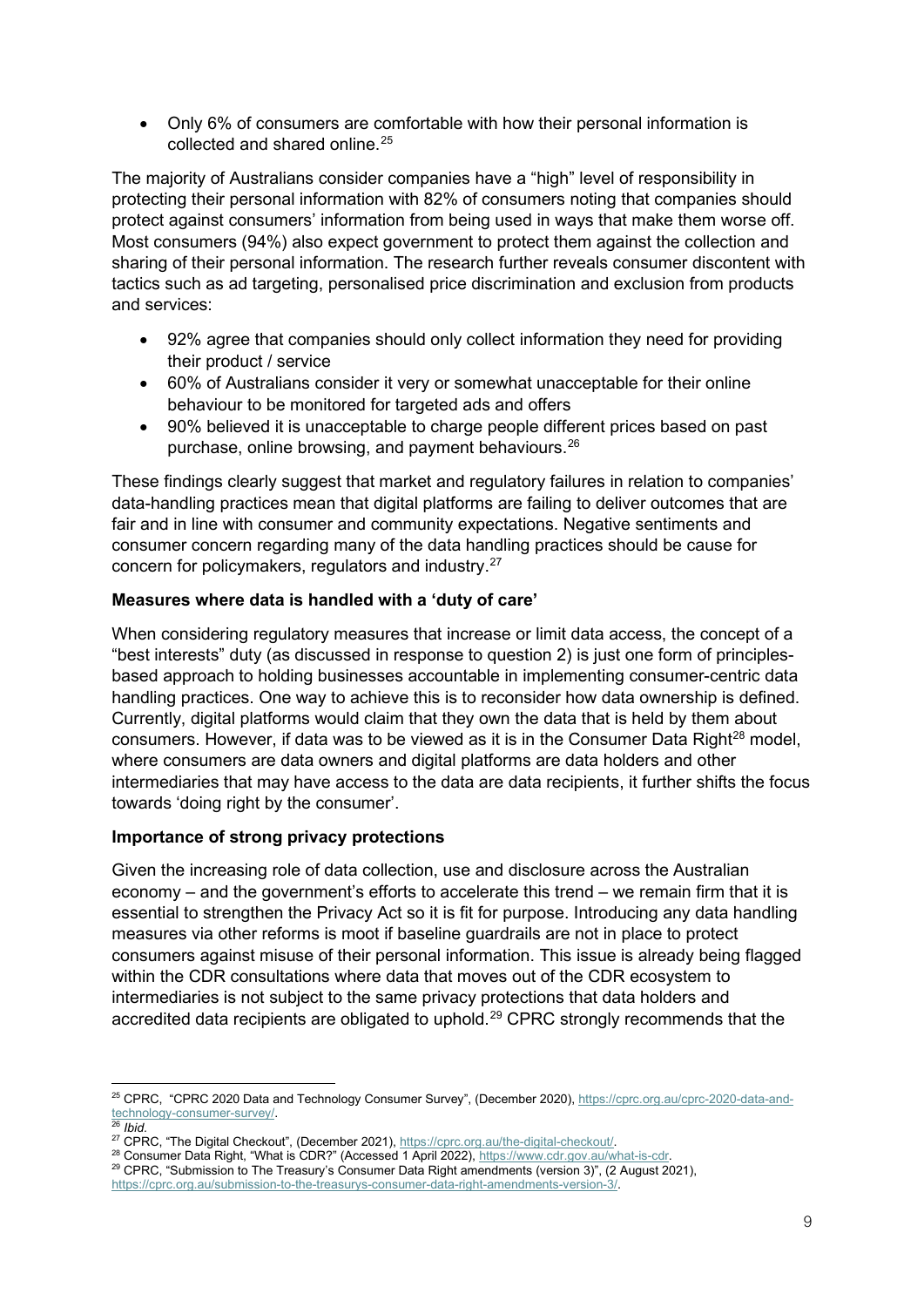• Only 6% of consumers are comfortable with how their personal information is collected and shared online.<sup>[25](#page-8-0)</sup>

The majority of Australians consider companies have a "high" level of responsibility in protecting their personal information with 82% of consumers noting that companies should protect against consumers' information from being used in ways that make them worse off. Most consumers (94%) also expect government to protect them against the collection and sharing of their personal information. The research further reveals consumer discontent with tactics such as ad targeting, personalised price discrimination and exclusion from products and services:

- 92% agree that companies should only collect information they need for providing their product / service
- 60% of Australians consider it very or somewhat unacceptable for their online behaviour to be monitored for targeted ads and offers
- 90% believed it is unacceptable to charge people different prices based on past purchase, online browsing, and payment behaviours.[26](#page-8-1)

These findings clearly suggest that market and regulatory failures in relation to companies' data-handling practices mean that digital platforms are failing to deliver outcomes that are fair and in line with consumer and community expectations. Negative sentiments and consumer concern regarding many of the data handling practices should be cause for concern for policymakers, regulators and industry. [27](#page-8-2)

### **Measures where data is handled with a 'duty of care'**

When considering regulatory measures that increase or limit data access, the concept of a "best interests" duty (as discussed in response to question 2) is just one form of principlesbased approach to holding businesses accountable in implementing consumer-centric data handling practices. One way to achieve this is to reconsider how data ownership is defined. Currently, digital platforms would claim that they own the data that is held by them about consumers. However, if data was to be viewed as it is in the Consumer Data Right $^{28}$  model, where consumers are data owners and digital platforms are data holders and other intermediaries that may have access to the data are data recipients, it further shifts the focus towards 'doing right by the consumer'.

#### **Importance of strong privacy protections**

Given the increasing role of data collection, use and disclosure across the Australian economy – and the government's efforts to accelerate this trend – we remain firm that it is essential to strengthen the Privacy Act so it is fit for purpose. Introducing any data handling measures via other reforms is moot if baseline guardrails are not in place to protect consumers against misuse of their personal information. This issue is already being flagged within the CDR consultations where data that moves out of the CDR ecosystem to intermediaries is not subject to the same privacy protections that data holders and accredited data recipients are obligated to uphold.<sup>[29](#page-8-4)</sup> CPRC strongly recommends that the

<span id="page-8-0"></span><sup>25</sup> CPRC, "CPRC 2020 Data and Technology Consumer Survey", (December 2020), [https://cprc.org.au/cprc-2020-data-and](https://cprc.org.au/cprc-2020-data-and-technology-consumer-survey/)[technology-consumer-survey/.](https://cprc.org.au/cprc-2020-data-and-technology-consumer-survey/)<br><sup>26</sup> Ibid.<br><sup>27</sup> CPRC, "The Digital Checkout", (December 2021), <u>https://cprc.org.au/the-digital-checkout/</u>.

<span id="page-8-1"></span>

<span id="page-8-3"></span><span id="page-8-2"></span><sup>28</sup> Consumer Data Right, "What is CDR?" (Accessed 1 April 2022), [https://www.cdr.gov.au/what-is-cdr.](https://www.cdr.gov.au/what-is-cdr)<br>29 CPRC, "Submission to The Treasury's Consumer Data Right amendments (version 3)", (2 August 2021),

<span id="page-8-4"></span>

[https://cprc.org.au/submission-to-the-treasurys-consumer-data-right-amendments-version-3/.](https://cprc.org.au/submission-to-the-treasurys-consumer-data-right-amendments-version-3/)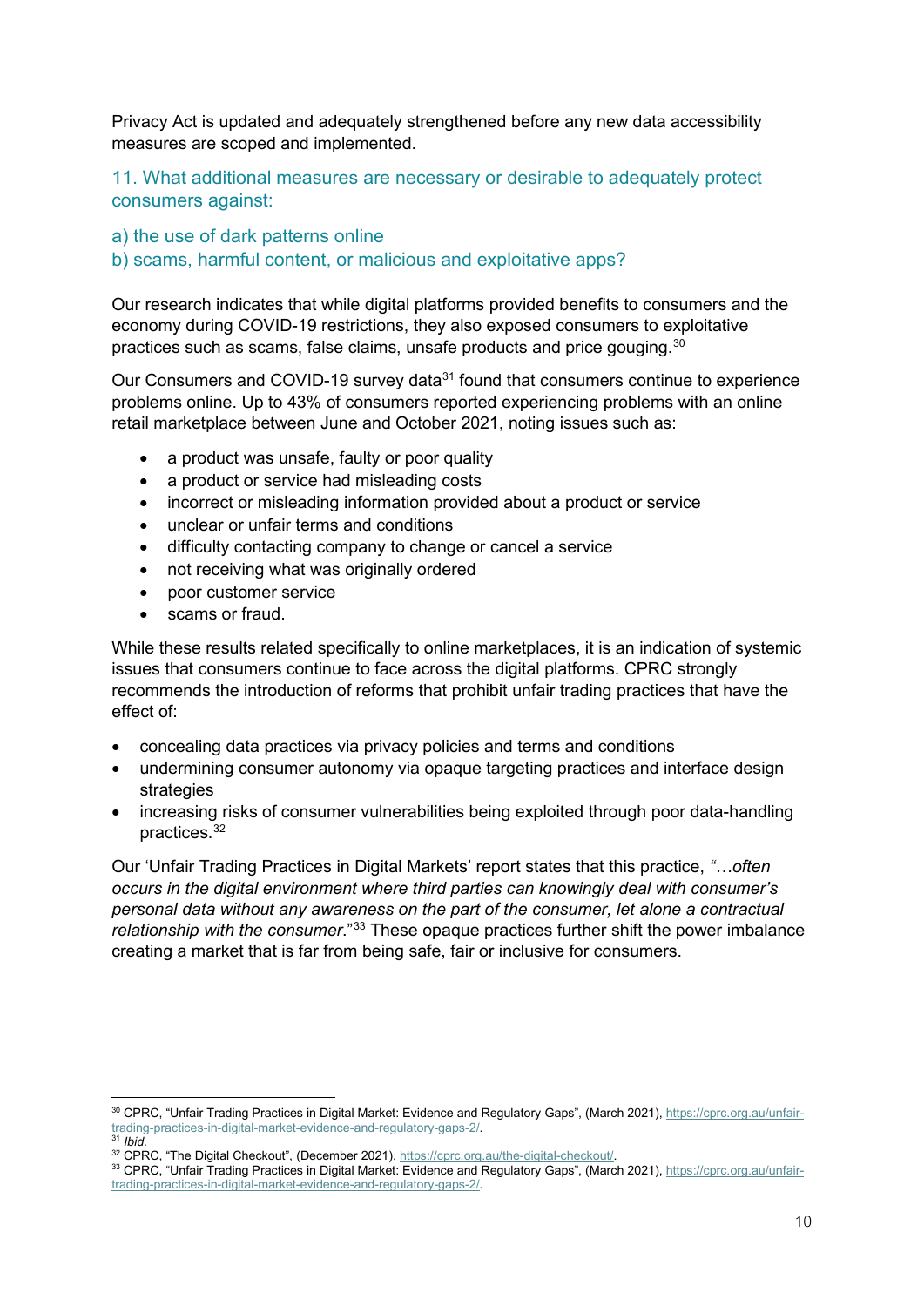Privacy Act is updated and adequately strengthened before any new data accessibility measures are scoped and implemented.

11. What additional measures are necessary or desirable to adequately protect consumers against:

a) the use of dark patterns online

b) scams, harmful content, or malicious and exploitative apps?

Our research indicates that while digital platforms provided benefits to consumers and the economy during COVID-19 restrictions, they also exposed consumers to exploitative practices such as scams, false claims, unsafe products and price gouging. $^{30}$  $^{30}$  $^{30}$ 

Our Consumers and COVID-19 survey data<sup>[31](#page-9-1)</sup> found that consumers continue to experience problems online. Up to 43% of consumers reported experiencing problems with an online retail marketplace between June and October 2021, noting issues such as:

- a product was unsafe, faulty or poor quality
- a product or service had misleading costs
- incorrect or misleading information provided about a product or service
- unclear or unfair terms and conditions
- difficulty contacting company to change or cancel a service
- not receiving what was originally ordered
- poor customer service
- scams or fraud.

While these results related specifically to online marketplaces, it is an indication of systemic issues that consumers continue to face across the digital platforms. CPRC strongly recommends the introduction of reforms that prohibit unfair trading practices that have the effect of:

- concealing data practices via privacy policies and terms and conditions
- undermining consumer autonomy via opaque targeting practices and interface design strategies
- increasing risks of consumer vulnerabilities being exploited through poor data-handling practices.[32](#page-9-2)

Our 'Unfair Trading Practices in Digital Markets' report states that this practice, *"…often occurs in the digital environment where third parties can knowingly deal with consumer's personal data without any awareness on the part of the consumer, let alone a contractual relationship with the consumer.*"<sup>[33](#page-9-3)</sup> These opaque practices further shift the power imbalance creating a market that is far from being safe, fair or inclusive for consumers.

<span id="page-9-0"></span><sup>30</sup> CPRC, "Unfair Trading Practices in Digital Market: Evidence and Regulatory Gaps", (March 2021)[, https://cprc.org.au/unfair](https://cprc.org.au/unfair-trading-practices-in-digital-market-evidence-and-regulatory-gaps-2/)[trading-practices-in-digital-market-evidence-and-regulatory-gaps-2/.](https://cprc.org.au/unfair-trading-practices-in-digital-market-evidence-and-regulatory-gaps-2/) 31 *Ibid.*

<span id="page-9-1"></span>

<span id="page-9-3"></span><span id="page-9-2"></span><sup>33</sup> CPRC, "Unfair Trading Practices in Digital Market: Evidence and Regulatory Gaps", (March 2021)[, https://cprc.org.au/unfair](https://cprc.org.au/unfair-trading-practices-in-digital-market-evidence-and-regulatory-gaps-2/)[trading-practices-in-digital-market-evidence-and-regulatory-gaps-2/.](https://cprc.org.au/unfair-trading-practices-in-digital-market-evidence-and-regulatory-gaps-2/)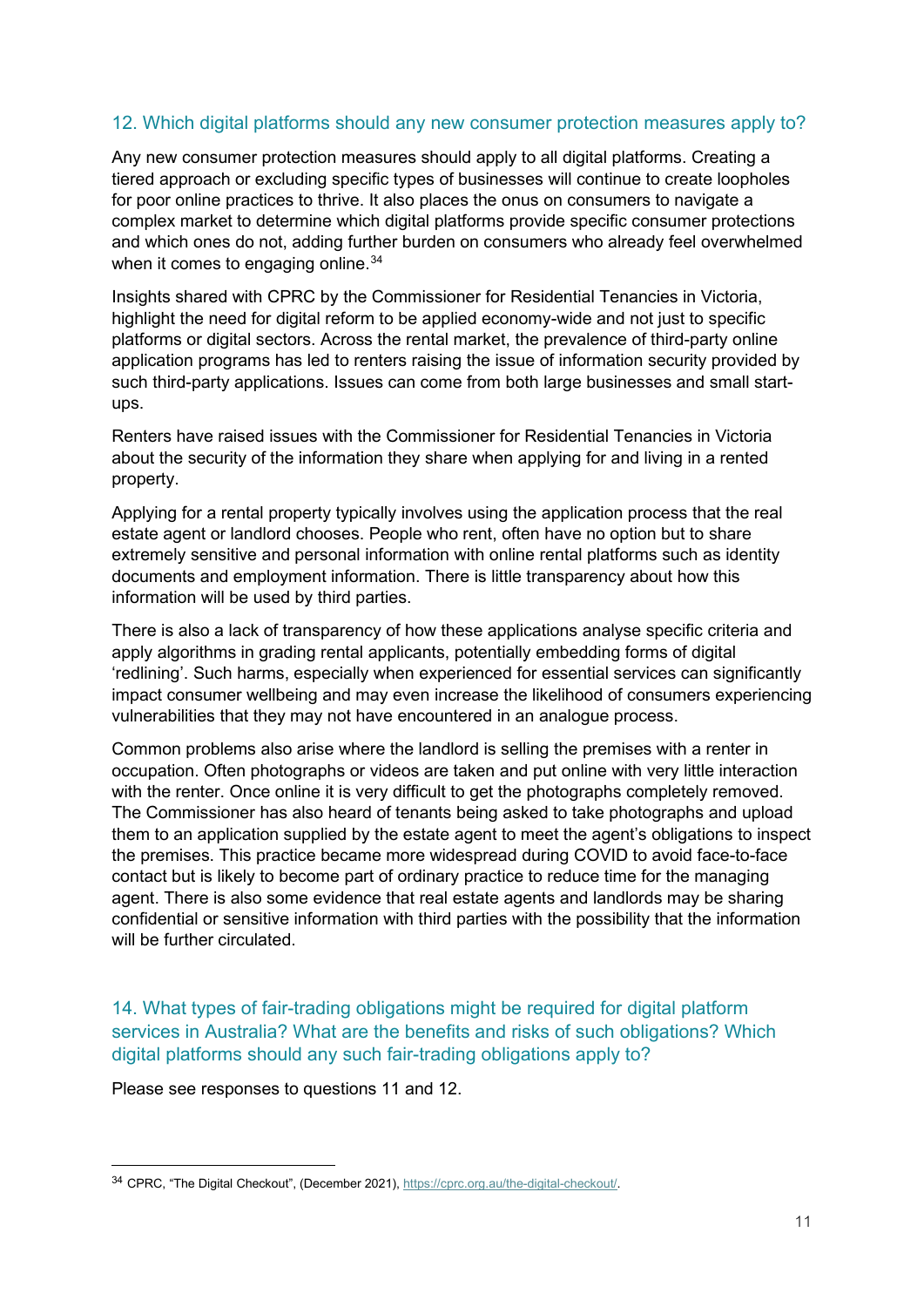# 12. Which digital platforms should any new consumer protection measures apply to?

Any new consumer protection measures should apply to all digital platforms. Creating a tiered approach or excluding specific types of businesses will continue to create loopholes for poor online practices to thrive. It also places the onus on consumers to navigate a complex market to determine which digital platforms provide specific consumer protections and which ones do not, adding further burden on consumers who already feel overwhelmed when it comes to engaging online.<sup>34</sup>

Insights shared with CPRC by the Commissioner for Residential Tenancies in Victoria, highlight the need for digital reform to be applied economy-wide and not just to specific platforms or digital sectors. Across the rental market, the prevalence of third-party online application programs has led to renters raising the issue of information security provided by such third-party applications. Issues can come from both large businesses and small startups.

Renters have raised issues with the Commissioner for Residential Tenancies in Victoria about the security of the information they share when applying for and living in a rented property.

Applying for a rental property typically involves using the application process that the real estate agent or landlord chooses. People who rent, often have no option but to share extremely sensitive and personal information with online rental platforms such as identity documents and employment information. There is little transparency about how this information will be used by third parties.

There is also a lack of transparency of how these applications analyse specific criteria and apply algorithms in grading rental applicants, potentially embedding forms of digital 'redlining'. Such harms, especially when experienced for essential services can significantly impact consumer wellbeing and may even increase the likelihood of consumers experiencing vulnerabilities that they may not have encountered in an analogue process.

Common problems also arise where the landlord is selling the premises with a renter in occupation. Often photographs or videos are taken and put online with very little interaction with the renter. Once online it is very difficult to get the photographs completely removed. The Commissioner has also heard of tenants being asked to take photographs and upload them to an application supplied by the estate agent to meet the agent's obligations to inspect the premises. This practice became more widespread during COVID to avoid face-to-face contact but is likely to become part of ordinary practice to reduce time for the managing agent. There is also some evidence that real estate agents and landlords may be sharing confidential or sensitive information with third parties with the possibility that the information will be further circulated.

14. What types of fair-trading obligations might be required for digital platform services in Australia? What are the benefits and risks of such obligations? Which digital platforms should any such fair-trading obligations apply to?

Please see responses to questions 11 and 12.

<span id="page-10-0"></span><sup>34</sup> CPRC, "The Digital Checkout", (December 2021), [https://cprc.org.au/the-digital-checkout/.](https://cprc.org.au/the-digital-checkout/)